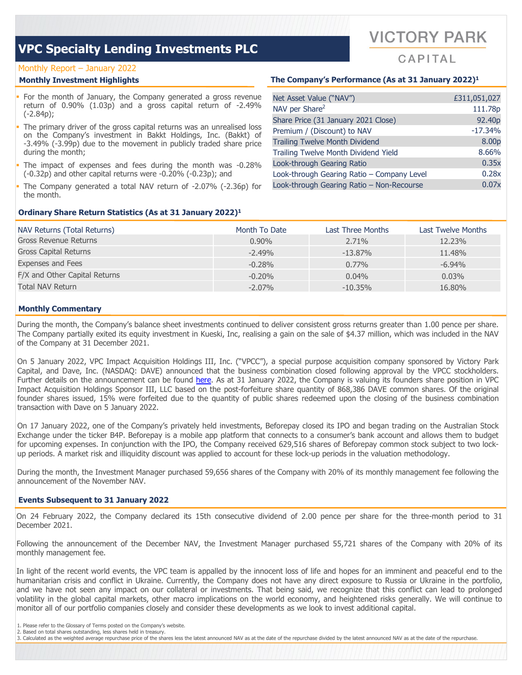## Monthly Report – January 2022

- For the month of January, the Company generated a gross revenue return of 0.90% (1.03p) and a gross capital return of -2.49% (-2.84p);
- The primary driver of the gross capital returns was an unrealised loss on the Company's investment in Bakkt Holdings, Inc. (Bakkt) of -3.49% (-3.99p) due to the movement in publicly traded share price during the month;
- The impact of expenses and fees during the month was -0.28% (-0.32p) and other capital returns were -0.20% (-0.23p); and
- The Company generated a total NAV return of -2.07% (-2.36p) for the month.

## **Ordinary Share Return Statistics (As at 31 January 2022)1**

## **Monthly Investment Highlights The Company's Performance (As at 31 January 2022)1**

| Net Asset Value ("NAV")                    | £311,051,027       |
|--------------------------------------------|--------------------|
| NAV per Share <sup>2</sup>                 | 111.78p            |
| Share Price (31 January 2021 Close)        | 92.40 <sub>p</sub> |
| Premium / (Discount) to NAV                | $-17.34%$          |
| <b>Trailing Twelve Month Dividend</b>      | 8.00p              |
| Trailing Twelve Month Dividend Yield       | 8.66%              |
| Look-through Gearing Ratio                 | 0.35x              |
| Look-through Gearing Ratio - Company Level | 0.28x              |
| Look-through Gearing Ratio - Non-Recourse  | 0.07x              |

| NAV Returns (Total Returns)   | Month To Date | Last Three Months | Last Twelve Months |
|-------------------------------|---------------|-------------------|--------------------|
| Gross Revenue Returns         | $0.90\%$      | 2.71%             | 12.23%             |
| <b>Gross Capital Returns</b>  | $-2.49%$      | $-13.87\%$        | 11.48%             |
| <b>Expenses and Fees</b>      | $-0.28%$      | $0.77\%$          | $-6.94\%$          |
| F/X and Other Capital Returns | $-0.20\%$     | $0.04\%$          | $0.03\%$           |
| <b>Total NAV Return</b>       | $-2.07\%$     | $-10.35%$         | 16.80%             |

## **Monthly Commentary**

During the month, the Company's balance sheet investments continued to deliver consistent gross returns greater than 1.00 pence per share. The Company partially exited its equity investment in Kueski, Inc, realising a gain on the sale of \$4.37 million, which was included in the NAV of the Company at 31 December 2021.

On 5 January 2022, VPC Impact Acquisition Holdings III, Inc. ("VPCC"), a special purpose acquisition company sponsored by Victory Park Capital, and Dave, Inc. (NASDAQ: DAVE) announced that the business combination closed following approval by the VPCC stockholders. Further details on the announcement can be found [here.](https://www.globenewswire.com/news-release/2022/01/06/2362089/0/en/Dave-and-VPC-Impact-Acquisition-Holdings-III-Inc-Announce-Closing-of-Business-Combination.html) As at 31 January 2022, the Company is valuing its founders share position in VPC Impact Acquisition Holdings Sponsor III, LLC based on the post-forfeiture share quantity of 868,386 DAVE common shares. Of the original founder shares issued, 15% were forfeited due to the quantity of public shares redeemed upon the closing of the business combination transaction with Dave on 5 January 2022.

On 17 January 2022, one of the Company's privately held investments, Beforepay closed its IPO and began trading on the Australian Stock Exchange under the ticker B4P. Beforepay is a mobile app platform that connects to a consumer's bank account and allows them to budget for upcoming expenses. In conjunction with the IPO, the Company received 629,516 shares of Beforepay common stock subject to two lockup periods. A market risk and illiquidity discount was applied to account for these lock-up periods in the valuation methodology.

During the month, the Investment Manager purchased 59,656 shares of the Company with 20% of its monthly management fee following the announcement of the November NAV.

### **Events Subsequent to 31 January 2022**

On 24 February 2022, the Company declared its 15th consecutive dividend of 2.00 pence per share for the three-month period to 31 December 2021.

Following the announcement of the December NAV, the Investment Manager purchased 55,721 shares of the Company with 20% of its monthly management fee.

In light of the recent world events, the VPC team is appalled by the innocent loss of life and hopes for an imminent and peaceful end to the humanitarian crisis and conflict in Ukraine. Currently, the Company does not have any direct exposure to Russia or Ukraine in the portfolio, and we have not seen any impact on our collateral or investments. That being said, we recognize that this conflict can lead to prolonged volatility in the global capital markets, other macro implications on the world economy, and heightened risks generally. We will continue to monitor all of our portfolio companies closely and consider these developments as we look to invest additional capital.

- 1. Please refer to the Glossary of Terms posted on the Company's website.
- 2. Based on total shares outstanding, less shares held in treasury.
- 3. Calculated as the weighted average repurchase price of the shares less the latest announced NAV as at the date of the repurchase divided by the latest announced NAV as at the date of the repurchase.



 $CAP|TAI$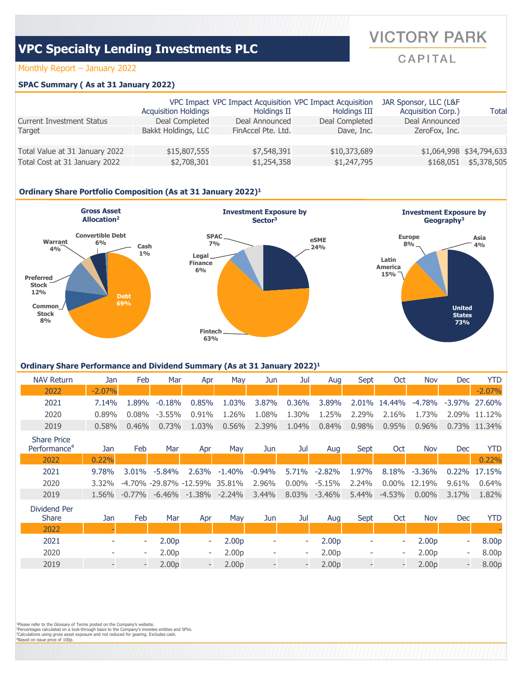# Monthly Report – January 2022

## **SPAC Summary ( As at 31 January 2022)**

|                                  | <b>Acquisition Holdings</b> | Holdings II        | VPC Impact VPC Impact Acquisition VPC Impact Acquisition<br>Holdings III | JAR Sponsor, LLC (L&F<br>Acquisition Corp.) | Total                    |
|----------------------------------|-----------------------------|--------------------|--------------------------------------------------------------------------|---------------------------------------------|--------------------------|
| <b>Current Investment Status</b> | Deal Completed              | Deal Announced     | Deal Completed                                                           | Deal Announced                              |                          |
| Target                           | Bakkt Holdings, LLC         | FinAccel Pte. Ltd. | Dave, Inc.                                                               | ZeroFox, Inc.                               |                          |
| Total Value at 31 January 2022   | \$15,807,555                | \$7,548,391        | \$10,373,689                                                             |                                             | \$1,064,998 \$34,794,633 |
| Total Cost at 31 January 2022    | \$2,708,301                 | \$1,254,358        | \$1,247,795                                                              | \$168,051                                   | \$5,378,505              |

# **Ordinary Share Portfolio Composition (As at 31 January 2022)1**



### **Ordinary Share Performance and Dividend Summary (As at 31 January 2022)1**

| <b>NAV Return</b>             | Jan      | Feb      | Mar       | Apr           | Mav      | Jun                                                                              | Jul      | Aua                                                             | Sept                 | Oct           | Nov                    | Dec           | YTD           |
|-------------------------------|----------|----------|-----------|---------------|----------|----------------------------------------------------------------------------------|----------|-----------------------------------------------------------------|----------------------|---------------|------------------------|---------------|---------------|
| 2022                          | $-2.07%$ |          |           |               |          |                                                                                  |          |                                                                 |                      |               |                        |               | $-2.07%$      |
| 2021                          | 7.14%    | 1.89%    | $-0.18\%$ | $0.85\%$      | 1.03%    | 3.87%                                                                            | $0.36\%$ | 3.89%                                                           |                      | 2.01% 14.44%  | -4.78%                 |               | -3.97% 27.60% |
| 2020                          | $0.89\%$ | $0.08\%$ | $-3.55\%$ | $0.91\%$      | 1.26%    | 1.08%                                                                            | 1.30%    | 1.25%                                                           | 2.29%                | 2.16%         | 1.73%                  |               | 2.09% 11.12%  |
| 2019                          | $0.58\%$ | $0.46\%$ | $0.73\%$  | $1.03\%$      | $0.56\%$ | 2.39%                                                                            | 1.04%    | 0.84%                                                           | 0.98%                | $0.95\%$      | $0.96\%$               |               | 0.73% 11.34%  |
| <b>Share Price</b><br>$R$ $A$ |          | - 1      |           | $\sim$ $\sim$ |          | $\mathbf{A}$ and $\mathbf{A}$ and $\mathbf{A}$ and $\mathbf{A}$ and $\mathbf{A}$ |          | $\mathbf{A}$ and $\mathbf{A}$ and $\mathbf{A}$ and $\mathbf{A}$ | $\sim$ $\sim$ $\sim$ | $\sim$ $\sim$ | <b>STATE CONTINUES</b> | $\sim$ $\sim$ |               |

| Performance <sup>4</sup> | Jan   | Feb   | Mar    | Apr                                                                  | Mav                                                 | Jun | Jul | Aua | Sept | Oct | <b>Nov</b> | <b>Dec</b>   | YTD.  |
|--------------------------|-------|-------|--------|----------------------------------------------------------------------|-----------------------------------------------------|-----|-----|-----|------|-----|------------|--------------|-------|
| 2022                     | 0.22% |       |        |                                                                      |                                                     |     |     |     |      |     |            |              | 0.22% |
| 2021                     | 9.78% | 3.01% | -5.84% |                                                                      | 2.63% -1.40% -0.94% 5.71% -2.82% 1.97% 8.18% -3.36% |     |     |     |      |     |            | 0.22% 17.15% |       |
| 2020                     | 3.32% |       |        | -4.70% -29.87% -12.59% 35.81% 2.96% 0.00% -5.15% 2.24% 0.00% 12.19%  |                                                     |     |     |     |      |     |            | $9.61\%$     | 0.64% |
| 2019                     |       |       |        | $1.56\%$ -0.77% -6.46% -1.38% -2.24% 3.44% 8.03% -3.46% 5.44% -4.53% |                                                     |     |     |     |      |     | $0.00\%$   | 3.17%        | 1.82% |
|                          |       |       |        |                                                                      |                                                     |     |     |     |      |     |            |              |       |

| Dividend Per<br><b>Share</b> | Jan                      | Feb                      | Mar               | Apr                      | Mav               | Jun                      | Jul                      | Aug               | Sept                     | Oct                          | Nov               | Dec                      | YTD   |
|------------------------------|--------------------------|--------------------------|-------------------|--------------------------|-------------------|--------------------------|--------------------------|-------------------|--------------------------|------------------------------|-------------------|--------------------------|-------|
| 2022                         |                          |                          |                   |                          |                   |                          |                          |                   |                          |                              |                   |                          |       |
| 2021                         |                          |                          | 2.00 <sub>p</sub> | ÷                        | 2.00 <sub>p</sub> | $\overline{\phantom{a}}$ | ۰                        | 2.00 <sub>p</sub> | ۰                        | $\overline{\phantom{a}}$     | 2.00 <sub>p</sub> | -                        | 8.00p |
| 2020                         | $\overline{\phantom{a}}$ | $\overline{\phantom{a}}$ | 2.00 <sub>p</sub> | $\overline{\phantom{0}}$ | 2.00 <sub>p</sub> | $\overline{\phantom{a}}$ | $\overline{\phantom{0}}$ | 2.00 <sub>p</sub> | $\overline{\phantom{a}}$ | $\overline{\phantom{0}}$     | 2.00 <sub>p</sub> | $\overline{\phantom{a}}$ | 8.00p |
| 2019                         |                          | $-$                      | 2.00 <sub>p</sub> | $\overline{\phantom{0}}$ | 2.00 <sub>p</sub> |                          | $\qquad$                 | 2.00 <sub>p</sub> | $\overline{\phantom{a}}$ | $\qquad \qquad \blacksquare$ | 2.00 <sub>p</sub> | $\overline{\phantom{a}}$ | 8.00p |

<sup>1</sup>Please refer to the Glossary of Terms posted on the Company's website.<br><sup>2</sup>Percentages calculated on a look-through basis to the Company's investee entities and SPVs.<br><sup>3</sup>Calculations using gross asset exposure and not re

# **VICTORY PARK**

# CAPITAL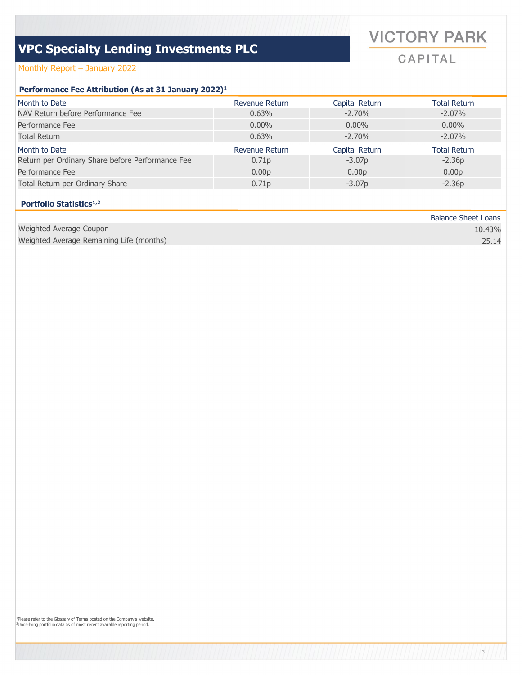# **VICTORY PARK**

CAPITAL

3

# Monthly Report – January 2022

# **Performance Fee Attribution (As at 31 January 2022)1**

| Month to Date                                    | Revenue Return    | Capital Return    | <b>Total Return</b> |
|--------------------------------------------------|-------------------|-------------------|---------------------|
| NAV Return before Performance Fee                | 0.63%             | $-2.70%$          | $-2.07\%$           |
| Performance Fee                                  | $0.00\%$          | $0.00\%$          | $0.00\%$            |
| Total Return                                     | 0.63%             | $-2.70%$          | $-2.07\%$           |
| Month to Date                                    | Revenue Return    | Capital Return    | <b>Total Return</b> |
| Return per Ordinary Share before Performance Fee | 0.71 <sub>p</sub> | $-3.07p$          | $-2.36p$            |
| Performance Fee                                  | 0.00 <sub>p</sub> | 0.00 <sub>D</sub> | 0.00 <sub>p</sub>   |
| Total Return per Ordinary Share                  | 0.71 <sub>p</sub> | $-3.07p$          | $-2.36p$            |

# **Portfolio Statistics1,2**

|                                          | <b>Balance Sheet Loans</b> |
|------------------------------------------|----------------------------|
| Weighted Average Coupon                  | 10.43%                     |
| Weighted Average Remaining Life (months) | 25.14                      |